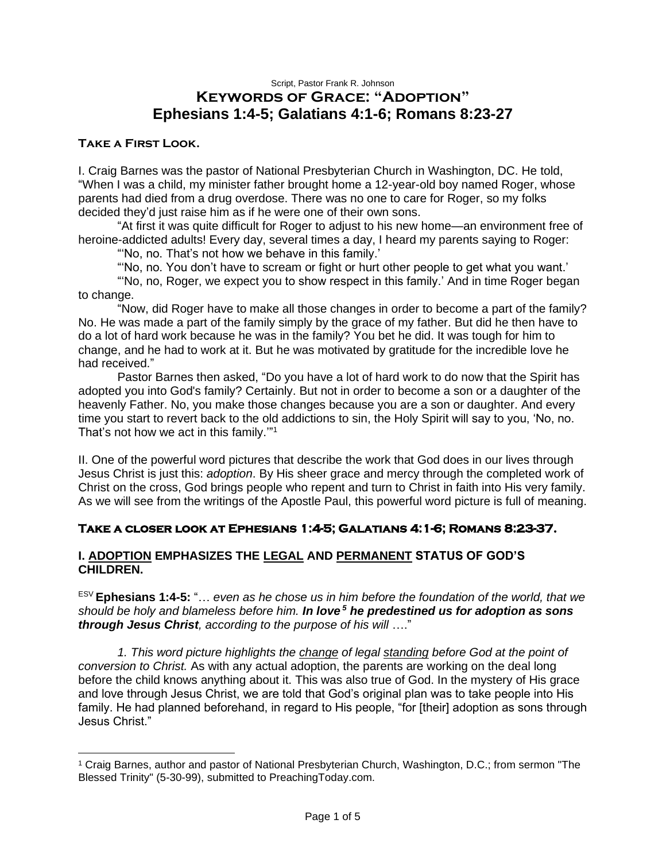## Script, Pastor Frank R. Johnson **Keywords of Grace: "Adoption" Ephesians 1:4-5; Galatians 4:1-6; Romans 8:23-27**

#### **Take a First Look.**

I. Craig Barnes was the pastor of National Presbyterian Church in Washington, DC. He told, "When I was a child, my minister father brought home a 12-year-old boy named Roger, whose parents had died from a drug overdose. There was no one to care for Roger, so my folks decided they'd just raise him as if he were one of their own sons.

"At first it was quite difficult for Roger to adjust to his new home—an environment free of heroine-addicted adults! Every day, several times a day, I heard my parents saying to Roger:

"'No, no. That's not how we behave in this family.'

"'No, no. You don't have to scream or fight or hurt other people to get what you want.'

"'No, no, Roger, we expect you to show respect in this family.' And in time Roger began to change.

"Now, did Roger have to make all those changes in order to become a part of the family? No. He was made a part of the family simply by the grace of my father. But did he then have to do a lot of hard work because he was in the family? You bet he did. It was tough for him to change, and he had to work at it. But he was motivated by gratitude for the incredible love he had received."

Pastor Barnes then asked, "Do you have a lot of hard work to do now that the Spirit has adopted you into God's family? Certainly. But not in order to become a son or a daughter of the heavenly Father. No, you make those changes because you are a son or daughter. And every time you start to revert back to the old addictions to sin, the Holy Spirit will say to you, 'No, no. That's not how we act in this family."<sup>1</sup>

II. One of the powerful word pictures that describe the work that God does in our lives through Jesus Christ is just this: *adoption*. By His sheer grace and mercy through the completed work of Christ on the cross, God brings people who repent and turn to Christ in faith into His very family. As we will see from the writings of the Apostle Paul, this powerful word picture is full of meaning.

### **Take a closer look at Ephesians 1:4-5; Galatians 4:1-6; Romans 8:23-37.**

#### **I. ADOPTION EMPHASIZES THE LEGAL AND PERMANENT STATUS OF GOD'S CHILDREN.**

ESV **Ephesians 1:4-5:** "… *even as he chose us in him before the foundation of the world, that we should be holy and blameless before him. In love <sup>5</sup> he predestined us for adoption as sons through Jesus Christ, according to the purpose of his will* …."

*1. This word picture highlights the change of legal standing before God at the point of conversion to Christ.* As with any actual adoption, the parents are working on the deal long before the child knows anything about it. This was also true of God. In the mystery of His grace and love through Jesus Christ, we are told that God's original plan was to take people into His family. He had planned beforehand, in regard to His people, "for [their] adoption as sons through Jesus Christ."

<sup>1</sup> Craig Barnes, author and pastor of National Presbyterian Church, Washington, D.C.; from sermon "The Blessed Trinity" (5-30-99), submitted to PreachingToday.com.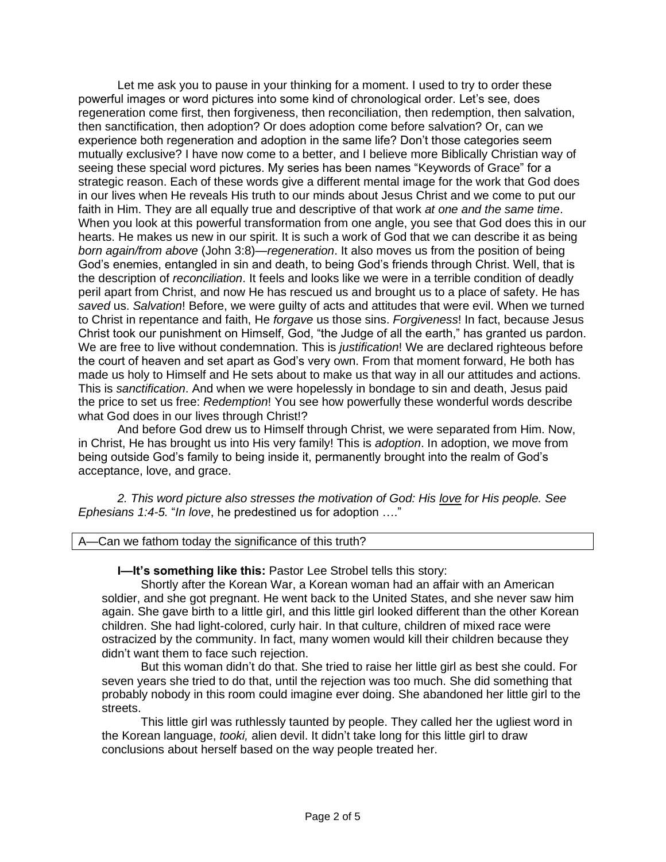Let me ask you to pause in your thinking for a moment. I used to try to order these powerful images or word pictures into some kind of chronological order. Let's see, does regeneration come first, then forgiveness, then reconciliation, then redemption, then salvation, then sanctification, then adoption? Or does adoption come before salvation? Or, can we experience both regeneration and adoption in the same life? Don't those categories seem mutually exclusive? I have now come to a better, and I believe more Biblically Christian way of seeing these special word pictures. My series has been names "Keywords of Grace" for a strategic reason. Each of these words give a different mental image for the work that God does in our lives when He reveals His truth to our minds about Jesus Christ and we come to put our faith in Him. They are all equally true and descriptive of that work *at one and the same time*. When you look at this powerful transformation from one angle, you see that God does this in our hearts. He makes us new in our spirit. It is such a work of God that we can describe it as being *born again/from above* (John 3:8)—*regeneration*. It also moves us from the position of being God's enemies, entangled in sin and death, to being God's friends through Christ. Well, that is the description of *reconciliation*. It feels and looks like we were in a terrible condition of deadly peril apart from Christ, and now He has rescued us and brought us to a place of safety. He has *saved* us. *Salvation*! Before, we were guilty of acts and attitudes that were evil. When we turned to Christ in repentance and faith, He *forgave* us those sins. *Forgiveness*! In fact, because Jesus Christ took our punishment on Himself, God, "the Judge of all the earth," has granted us pardon. We are free to live without condemnation. This is *justification*! We are declared righteous before the court of heaven and set apart as God's very own. From that moment forward, He both has made us holy to Himself and He sets about to make us that way in all our attitudes and actions. This is *sanctification*. And when we were hopelessly in bondage to sin and death, Jesus paid the price to set us free: *Redemption*! You see how powerfully these wonderful words describe what God does in our lives through Christ!?

And before God drew us to Himself through Christ, we were separated from Him. Now, in Christ, He has brought us into His very family! This is *adoption*. In adoption, we move from being outside God's family to being inside it, permanently brought into the realm of God's acceptance, love, and grace.

*2. This word picture also stresses the motivation of God: His love for His people. See Ephesians 1:4-5.* "*In love*, he predestined us for adoption …."

A—Can we fathom today the significance of this truth?

**I—It's something like this:** Pastor Lee Strobel tells this story:

Shortly after the Korean War, a Korean woman had an affair with an American soldier, and she got pregnant. He went back to the United States, and she never saw him again. She gave birth to a little girl, and this little girl looked different than the other Korean children. She had light-colored, curly hair. In that culture, children of mixed race were ostracized by the community. In fact, many women would kill their children because they didn't want them to face such rejection.

But this woman didn't do that. She tried to raise her little girl as best she could. For seven years she tried to do that, until the rejection was too much. She did something that probably nobody in this room could imagine ever doing. She abandoned her little girl to the streets.

This little girl was ruthlessly taunted by people. They called her the ugliest word in the Korean language, *tooki,* alien devil. It didn't take long for this little girl to draw conclusions about herself based on the way people treated her.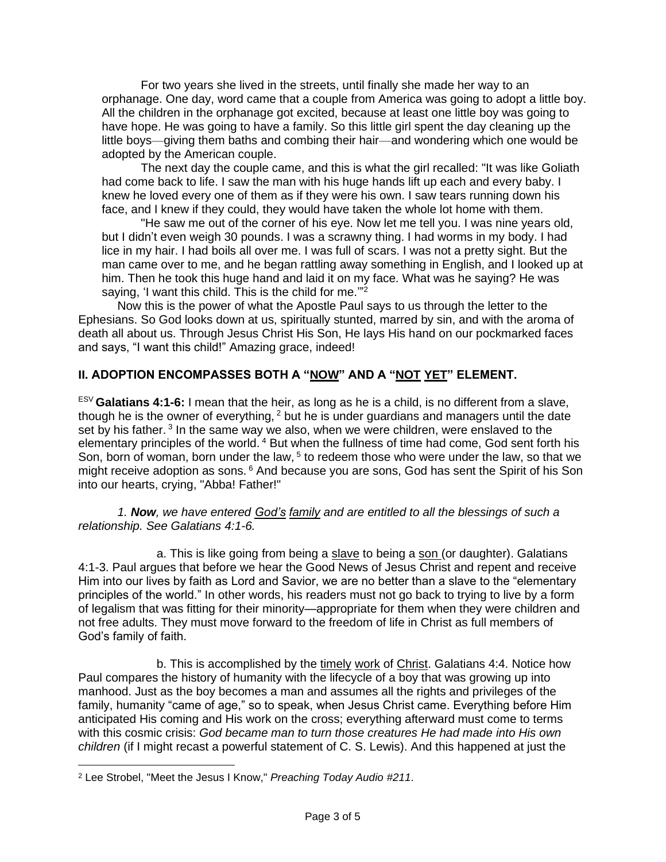For two years she lived in the streets, until finally she made her way to an orphanage. One day, word came that a couple from America was going to adopt a little boy. All the children in the orphanage got excited, because at least one little boy was going to have hope. He was going to have a family. So this little girl spent the day cleaning up the little boys—giving them baths and combing their hair—and wondering which one would be adopted by the American couple.

The next day the couple came, and this is what the girl recalled: "It was like Goliath had come back to life. I saw the man with his huge hands lift up each and every baby. I knew he loved every one of them as if they were his own. I saw tears running down his face, and I knew if they could, they would have taken the whole lot home with them.

"He saw me out of the corner of his eye. Now let me tell you. I was nine years old, but I didn't even weigh 30 pounds. I was a scrawny thing. I had worms in my body. I had lice in my hair. I had boils all over me. I was full of scars. I was not a pretty sight. But the man came over to me, and he began rattling away something in English, and I looked up at him. Then he took this huge hand and laid it on my face. What was he saying? He was saying, 'I want this child. This is the child for me."<sup>2</sup>

Now this is the power of what the Apostle Paul says to us through the letter to the Ephesians. So God looks down at us, spiritually stunted, marred by sin, and with the aroma of death all about us. Through Jesus Christ His Son, He lays His hand on our pockmarked faces and says, "I want this child!" Amazing grace, indeed!

# **II. ADOPTION ENCOMPASSES BOTH A "NOW" AND A "NOT YET" ELEMENT.**

ESV **Galatians 4:1-6:** I mean that the heir, as long as he is a child, is no different from a slave, though he is the owner of everything,  $2$  but he is under guardians and managers until the date set by his father.<sup>3</sup> In the same way we also, when we were children, were enslaved to the elementary principles of the world.<sup>4</sup> But when the fullness of time had come, God sent forth his Son, born of woman, born under the law,  $5$  to redeem those who were under the law, so that we might receive adoption as sons. <sup>6</sup> And because you are sons, God has sent the Spirit of his Son into our hearts, crying, "Abba! Father!"

*1. Now, we have entered God's family and are entitled to all the blessings of such a relationship. See Galatians 4:1-6.*

a. This is like going from being a slave to being a son (or daughter). Galatians 4:1-3. Paul argues that before we hear the Good News of Jesus Christ and repent and receive Him into our lives by faith as Lord and Savior, we are no better than a slave to the "elementary principles of the world." In other words, his readers must not go back to trying to live by a form of legalism that was fitting for their minority—appropriate for them when they were children and not free adults. They must move forward to the freedom of life in Christ as full members of God's family of faith.

b. This is accomplished by the timely work of Christ. Galatians 4:4. Notice how Paul compares the history of humanity with the lifecycle of a boy that was growing up into manhood. Just as the boy becomes a man and assumes all the rights and privileges of the family, humanity "came of age," so to speak, when Jesus Christ came. Everything before Him anticipated His coming and His work on the cross; everything afterward must come to terms with this cosmic crisis: *God became man to turn those creatures He had made into His own children* (if I might recast a powerful statement of C. S. Lewis). And this happened at just the

<sup>2</sup> Lee Strobel, "Meet the Jesus I Know," *Preaching Today Audio #211*.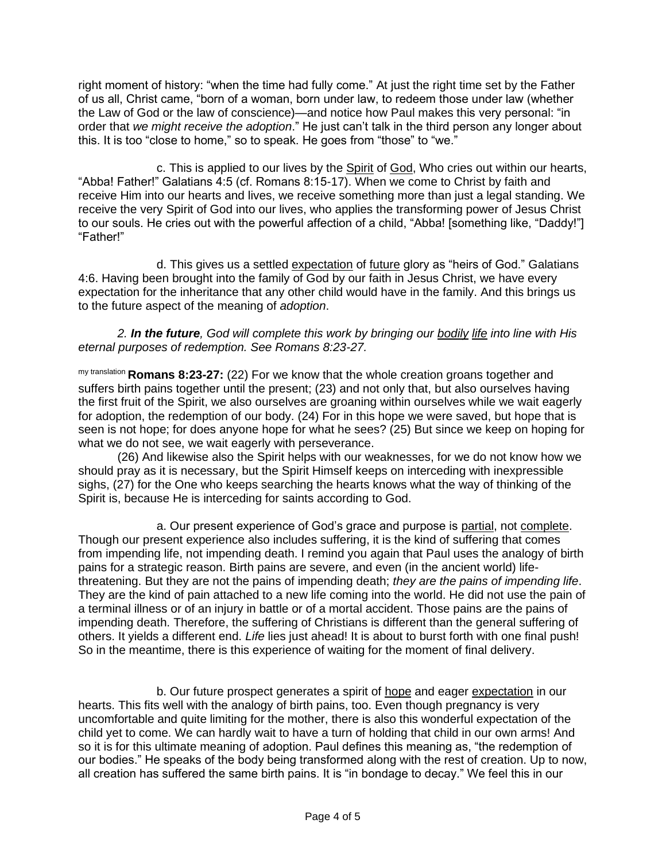right moment of history: "when the time had fully come." At just the right time set by the Father of us all, Christ came, "born of a woman, born under law, to redeem those under law (whether the Law of God or the law of conscience)—and notice how Paul makes this very personal: "in order that *we might receive the adoption*." He just can't talk in the third person any longer about this. It is too "close to home," so to speak. He goes from "those" to "we."

c. This is applied to our lives by the Spirit of God, Who cries out within our hearts, "Abba! Father!" Galatians 4:5 (cf. Romans 8:15-17). When we come to Christ by faith and receive Him into our hearts and lives, we receive something more than just a legal standing. We receive the very Spirit of God into our lives, who applies the transforming power of Jesus Christ to our souls. He cries out with the powerful affection of a child, "Abba! [something like, "Daddy!"] "Father!"

d. This gives us a settled expectation of future glory as "heirs of God." Galatians 4:6. Having been brought into the family of God by our faith in Jesus Christ, we have every expectation for the inheritance that any other child would have in the family. And this brings us to the future aspect of the meaning of *adoption*.

*2. In the future, God will complete this work by bringing our bodily life into line with His eternal purposes of redemption. See Romans 8:23-27.*

my translation **Romans 8:23-27:** (22) For we know that the whole creation groans together and suffers birth pains together until the present; (23) and not only that, but also ourselves having the first fruit of the Spirit, we also ourselves are groaning within ourselves while we wait eagerly for adoption, the redemption of our body. (24) For in this hope we were saved, but hope that is seen is not hope; for does anyone hope for what he sees? (25) But since we keep on hoping for what we do not see, we wait eagerly with perseverance.

(26) And likewise also the Spirit helps with our weaknesses, for we do not know how we should pray as it is necessary, but the Spirit Himself keeps on interceding with inexpressible sighs, (27) for the One who keeps searching the hearts knows what the way of thinking of the Spirit is, because He is interceding for saints according to God.

a. Our present experience of God's grace and purpose is partial, not complete. Though our present experience also includes suffering, it is the kind of suffering that comes from impending life, not impending death. I remind you again that Paul uses the analogy of birth pains for a strategic reason. Birth pains are severe, and even (in the ancient world) lifethreatening. But they are not the pains of impending death; *they are the pains of impending life*. They are the kind of pain attached to a new life coming into the world. He did not use the pain of a terminal illness or of an injury in battle or of a mortal accident. Those pains are the pains of impending death. Therefore, the suffering of Christians is different than the general suffering of others. It yields a different end. *Life* lies just ahead! It is about to burst forth with one final push! So in the meantime, there is this experience of waiting for the moment of final delivery.

b. Our future prospect generates a spirit of hope and eager expectation in our hearts. This fits well with the analogy of birth pains, too. Even though pregnancy is very uncomfortable and quite limiting for the mother, there is also this wonderful expectation of the child yet to come. We can hardly wait to have a turn of holding that child in our own arms! And so it is for this ultimate meaning of adoption. Paul defines this meaning as, "the redemption of our bodies." He speaks of the body being transformed along with the rest of creation. Up to now, all creation has suffered the same birth pains. It is "in bondage to decay." We feel this in our